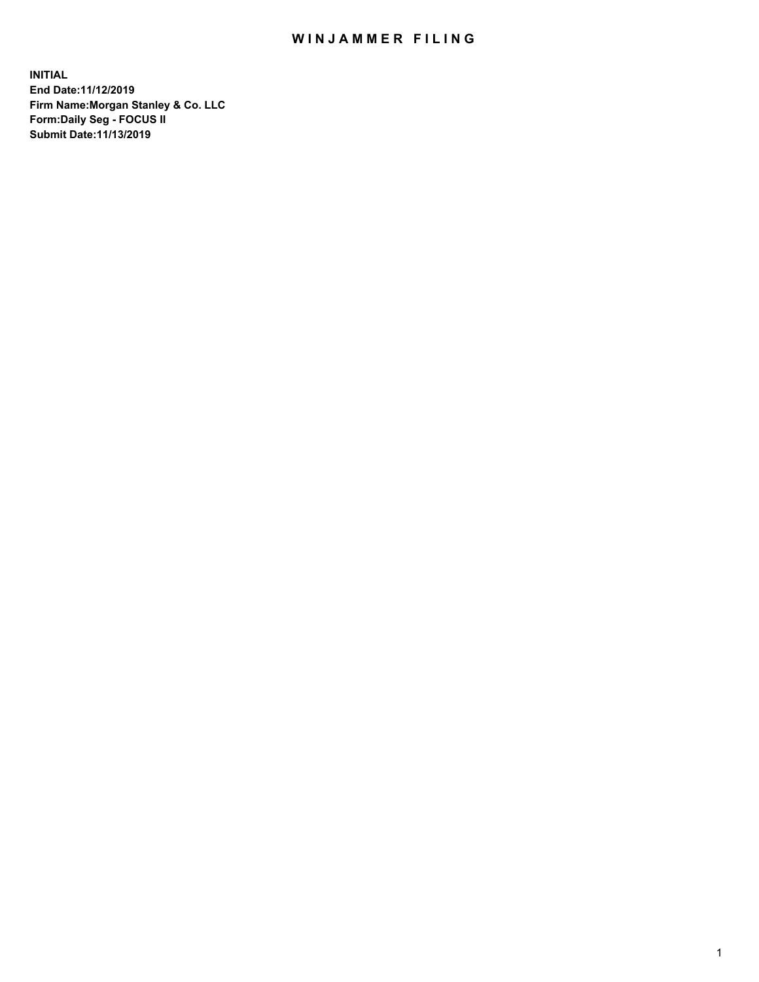## WIN JAMMER FILING

**INITIAL End Date:11/12/2019 Firm Name:Morgan Stanley & Co. LLC Form:Daily Seg - FOCUS II Submit Date:11/13/2019**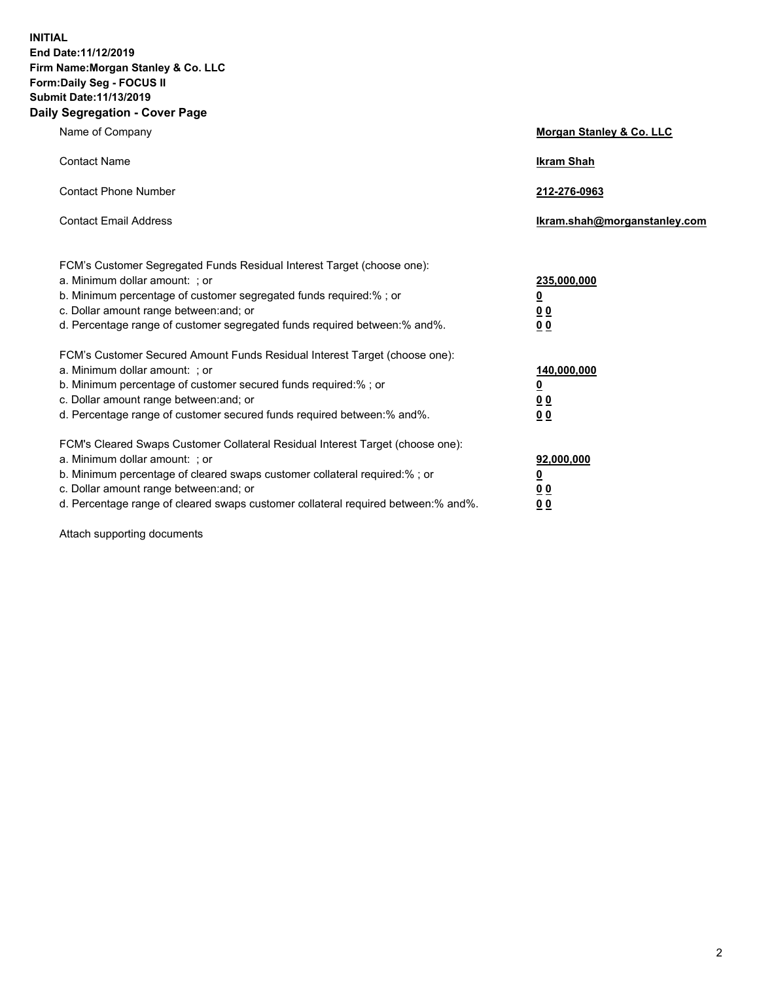**INITIAL End Date:11/12/2019 Firm Name:Morgan Stanley & Co. LLC Form:Daily Seg - FOCUS II Submit Date:11/13/2019 Daily Segregation - Cover Page**

| Name of Company                                                                                                                                                                                                                                                                                                                | Morgan Stanley & Co. LLC                               |
|--------------------------------------------------------------------------------------------------------------------------------------------------------------------------------------------------------------------------------------------------------------------------------------------------------------------------------|--------------------------------------------------------|
| <b>Contact Name</b>                                                                                                                                                                                                                                                                                                            | <b>Ikram Shah</b>                                      |
| <b>Contact Phone Number</b>                                                                                                                                                                                                                                                                                                    | 212-276-0963                                           |
| <b>Contact Email Address</b>                                                                                                                                                                                                                                                                                                   | Ikram.shah@morganstanley.com                           |
| FCM's Customer Segregated Funds Residual Interest Target (choose one):<br>a. Minimum dollar amount: ; or<br>b. Minimum percentage of customer segregated funds required:% ; or<br>c. Dollar amount range between: and; or<br>d. Percentage range of customer segregated funds required between:% and%.                         | 235,000,000<br><u>0</u><br>00<br>00                    |
| FCM's Customer Secured Amount Funds Residual Interest Target (choose one):<br>a. Minimum dollar amount: ; or<br>b. Minimum percentage of customer secured funds required:%; or<br>c. Dollar amount range between: and; or<br>d. Percentage range of customer secured funds required between: % and %.                          | 140,000,000<br><u>0</u><br><u>00</u><br>0 <sub>0</sub> |
| FCM's Cleared Swaps Customer Collateral Residual Interest Target (choose one):<br>a. Minimum dollar amount: ; or<br>b. Minimum percentage of cleared swaps customer collateral required:% ; or<br>c. Dollar amount range between: and; or<br>d. Percentage range of cleared swaps customer collateral required between:% and%. | 92,000,000<br><u>0</u><br>0 Q<br>00                    |

Attach supporting documents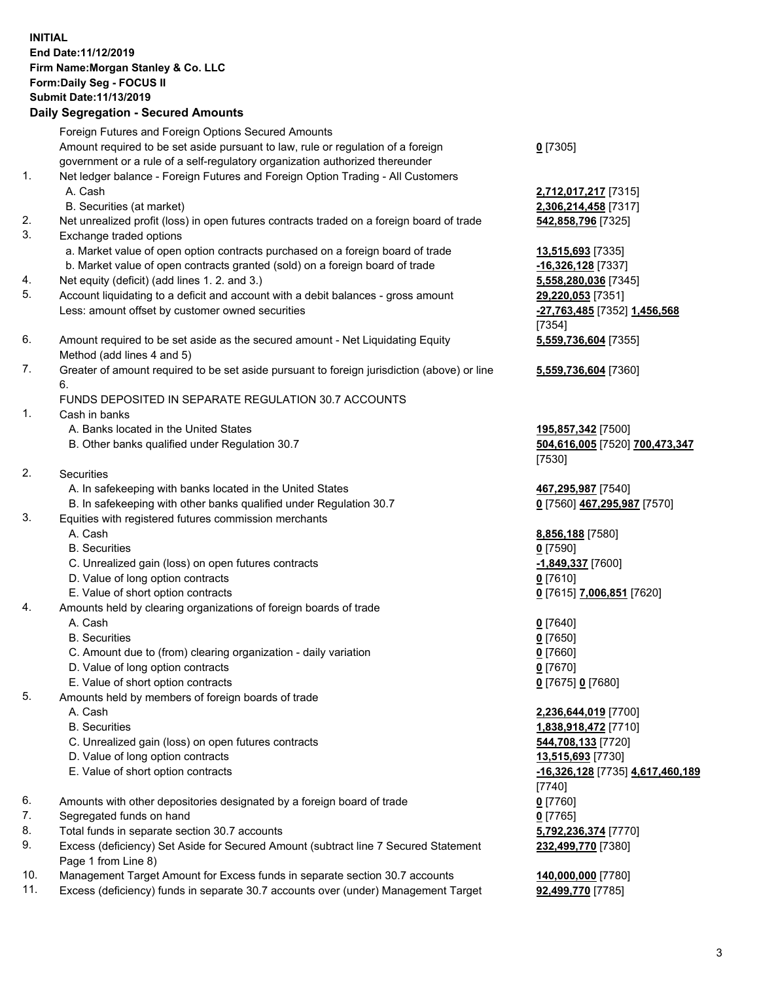## **INITIAL End Date:11/12/2019 Firm Name:Morgan Stanley & Co. LLC Form:Daily Seg - FOCUS II Submit Date:11/13/2019**

**Daily Segregation - Secured Amounts** Foreign Futures and Foreign Options Secured Amounts Amount required to be set aside pursuant to law, rule or regulation of a foreign government or a rule of a self-regulatory organization authorized thereunder 1. Net ledger balance - Foreign Futures and Foreign Option Trading - All Customers A. Cash **2,712,017,217** [7315] B. Securities (at market) **2,306,214,458** [7317] 2. Net unrealized profit (loss) in open futures contracts traded on a foreign board of trade **542,858,796** [7325] 3. Exchange traded options a. Market value of open option contracts purchased on a foreign board of trade **13,515,693** [7335] b. Market value of open contracts granted (sold) on a foreign board of trade **-16,326,128** [7337] 4. Net equity (deficit) (add lines 1. 2. and 3.) **5,558,280,036** [7345] 5. Account liquidating to a deficit and account with a debit balances - gross amount **29,220,053** [7351] Less: amount offset by customer owned securities **-27,763,485** [7352] **1,456,568** 6. Amount required to be set aside as the secured amount - Net Liquidating Equity Method (add lines 4 and 5) 7. Greater of amount required to be set aside pursuant to foreign jurisdiction (above) or line 6. FUNDS DEPOSITED IN SEPARATE REGULATION 30.7 ACCOUNTS 1. Cash in banks A. Banks located in the United States **195,857,342** [7500] B. Other banks qualified under Regulation 30.7 **504,616,005** [7520] **700,473,347** 2. Securities A. In safekeeping with banks located in the United States **467,295,987** [7540] B. In safekeeping with other banks qualified under Regulation 30.7 **0** [7560] **467,295,987** [7570] 3. Equities with registered futures commission merchants A. Cash **8,856,188** [7580] B. Securities **0** [7590] C. Unrealized gain (loss) on open futures contracts **-1,849,337** [7600] D. Value of long option contracts **0** [7610] E. Value of short option contracts **0** [7615] **7,006,851** [7620] 4. Amounts held by clearing organizations of foreign boards of trade A. Cash **0** [7640] B. Securities **0** [7650] C. Amount due to (from) clearing organization - daily variation **0** [7660] D. Value of long option contracts **0** [7670] E. Value of short option contracts **0** [7675] **0** [7680] 5. Amounts held by members of foreign boards of trade A. Cash **2,236,644,019** [7700] B. Securities **1,838,918,472** [7710] C. Unrealized gain (loss) on open futures contracts **544,708,133** [7720] D. Value of long option contracts **13,515,693** [7730] E. Value of short option contracts **-16,326,128** [7735] **4,617,460,189**

- 6. Amounts with other depositories designated by a foreign board of trade **0** [7760]
- 7. Segregated funds on hand **0** [7765]
- 8. Total funds in separate section 30.7 accounts **5,792,236,374** [7770]
- 9. Excess (deficiency) Set Aside for Secured Amount (subtract line 7 Secured Statement Page 1 from Line 8)
- 10. Management Target Amount for Excess funds in separate section 30.7 accounts **140,000,000** [7780]
- 11. Excess (deficiency) funds in separate 30.7 accounts over (under) Management Target **92,499,770** [7785]

| ı |
|---|
|   |

[7354] **5,559,736,604** [7355]

**5,559,736,604** [7360]

[7530]

[7740] **232,499,770** [7380]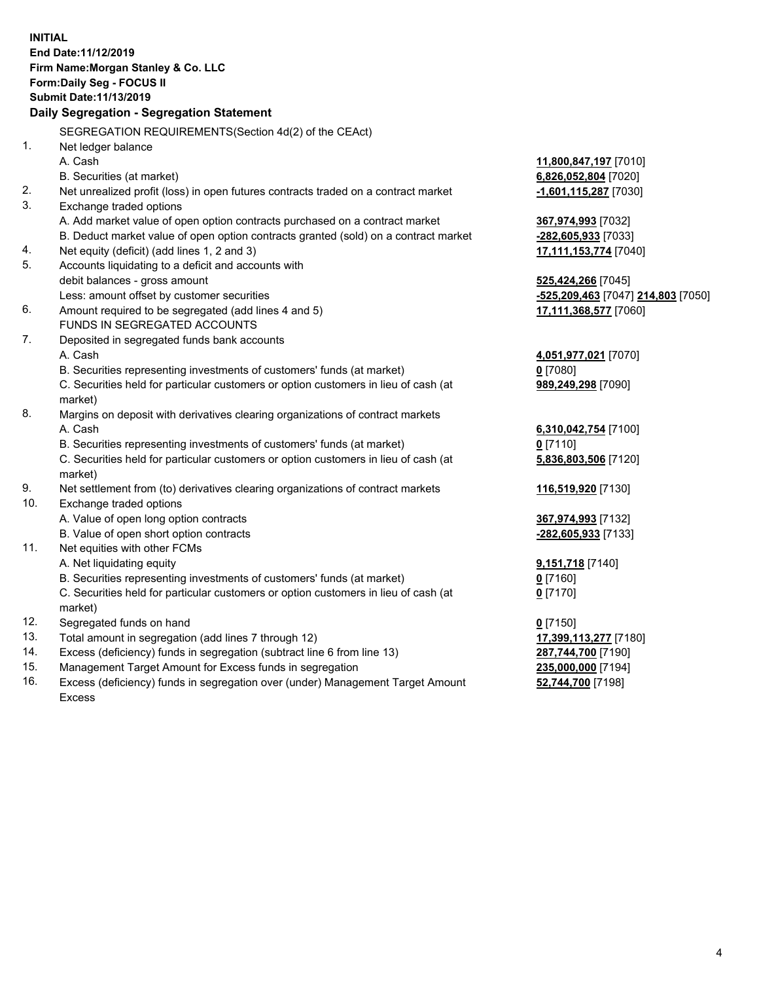**INITIAL End Date:11/12/2019 Firm Name:Morgan Stanley & Co. LLC Form:Daily Seg - FOCUS II Submit Date:11/13/2019 Daily Segregation - Segregation Statement** SEGREGATION REQUIREMENTS(Section 4d(2) of the CEAct) 1. Net ledger balance A. Cash **11,800,847,197** [7010] B. Securities (at market) **6,826,052,804** [7020] 2. Net unrealized profit (loss) in open futures contracts traded on a contract market **-1,601,115,287** [7030] 3. Exchange traded options A. Add market value of open option contracts purchased on a contract market **367,974,993** [7032] B. Deduct market value of open option contracts granted (sold) on a contract market **-282,605,933** [7033] 4. Net equity (deficit) (add lines 1, 2 and 3) **17,111,153,774** [7040] 5. Accounts liquidating to a deficit and accounts with debit balances - gross amount **525,424,266** [7045] Less: amount offset by customer securities **-525,209,463** [7047] **214,803** [7050] 6. Amount required to be segregated (add lines 4 and 5) **17,111,368,577** [7060] FUNDS IN SEGREGATED ACCOUNTS 7. Deposited in segregated funds bank accounts A. Cash **4,051,977,021** [7070] B. Securities representing investments of customers' funds (at market) **0** [7080] C. Securities held for particular customers or option customers in lieu of cash (at market) **989,249,298** [7090] 8. Margins on deposit with derivatives clearing organizations of contract markets A. Cash **6,310,042,754** [7100] B. Securities representing investments of customers' funds (at market) **0** [7110] C. Securities held for particular customers or option customers in lieu of cash (at market) **5,836,803,506** [7120] 9. Net settlement from (to) derivatives clearing organizations of contract markets **116,519,920** [7130] 10. Exchange traded options A. Value of open long option contracts **367,974,993** [7132] B. Value of open short option contracts **-282,605,933** [7133] 11. Net equities with other FCMs A. Net liquidating equity **9,151,718** [7140] B. Securities representing investments of customers' funds (at market) **0** [7160] C. Securities held for particular customers or option customers in lieu of cash (at market) **0** [7170] 12. Segregated funds on hand **0** [7150] 13. Total amount in segregation (add lines 7 through 12) **17,399,113,277** [7180] 14. Excess (deficiency) funds in segregation (subtract line 6 from line 13) **287,744,700** [7190] 15. Management Target Amount for Excess funds in segregation **235,000,000** [7194] 16. Excess (deficiency) funds in segregation over (under) Management Target Amount **52,744,700** [7198]

Excess